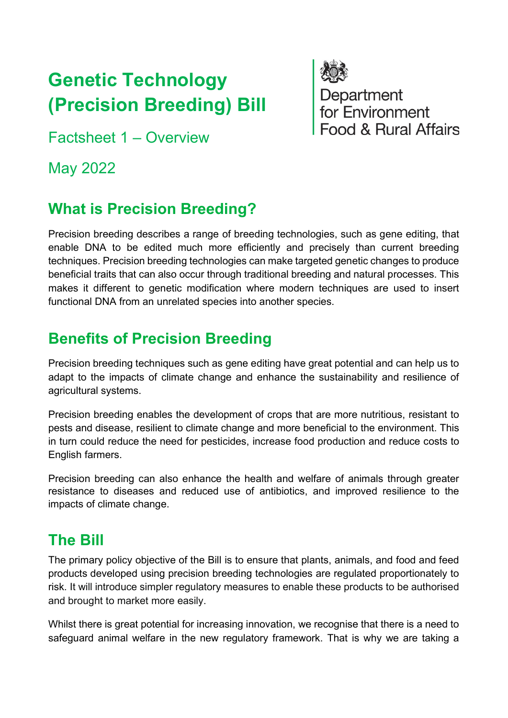# **Genetic Technology (Precision Breeding) Bill**

Factsheet 1 – Overview

May 2022

## **What is Precision Breeding?**

Precision breeding describes a range of breeding technologies, such as gene editing, that enable DNA to be edited much more efficiently and precisely than current breeding techniques. Precision breeding technologies can make targeted genetic changes to produce beneficial traits that can also occur through traditional breeding and natural processes. This makes it different to genetic modification where modern techniques are used to insert functional DNA from an unrelated species into another species.

Department<br>for Environment

Food & Rural Affairs

## **Benefits of Precision Breeding**

Precision breeding techniques such as gene editing have great potential and can help us to adapt to the impacts of climate change and enhance the sustainability and resilience of agricultural systems.

Precision breeding enables the development of crops that are more nutritious, resistant to pests and disease, resilient to climate change and more beneficial to the environment. This in turn could reduce the need for pesticides, increase food production and reduce costs to English farmers.

Precision breeding can also enhance the health and welfare of animals through greater resistance to diseases and reduced use of antibiotics, and improved resilience to the impacts of climate change.

#### **The Bill**

The primary policy objective of the Bill is to ensure that plants, animals, and food and feed products developed using precision breeding technologies are regulated proportionately to risk. It will introduce simpler regulatory measures to enable these products to be authorised and brought to market more easily.

Whilst there is great potential for increasing innovation, we recognise that there is a need to safeguard animal welfare in the new regulatory framework. That is why we are taking a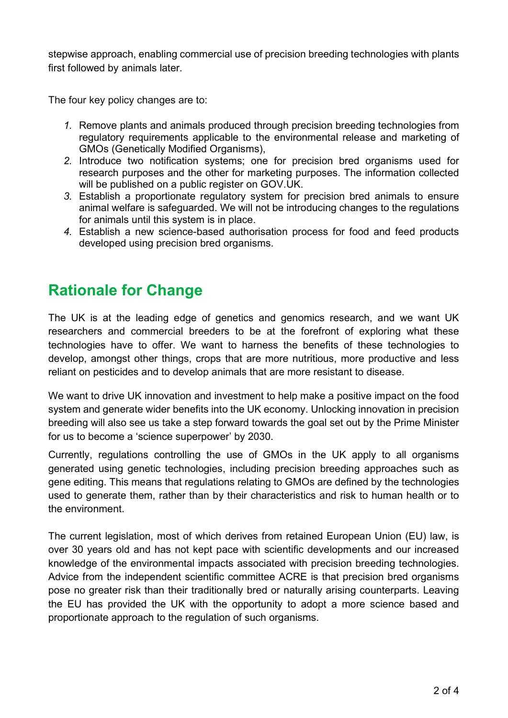stepwise approach, enabling commercial use of precision breeding technologies with plants first followed by animals later.

The four key policy changes are to:

- *1.* Remove plants and animals produced through precision breeding technologies from regulatory requirements applicable to the environmental release and marketing of GMOs (Genetically Modified Organisms),
- *2.* Introduce two notification systems; one for precision bred organisms used for research purposes and the other for marketing purposes. The information collected will be published on a public register on GOV.UK.
- *3.* Establish a proportionate regulatory system for precision bred animals to ensure animal welfare is safeguarded. We will not be introducing changes to the regulations for animals until this system is in place.
- *4.* Establish a new science-based authorisation process for food and feed products developed using precision bred organisms.

#### **Rationale for Change**

The UK is at the leading edge of genetics and genomics research, and we want UK researchers and commercial breeders to be at the forefront of exploring what these technologies have to offer. We want to harness the benefits of these technologies to develop, amongst other things, crops that are more nutritious, more productive and less reliant on pesticides and to develop animals that are more resistant to disease.

We want to drive UK innovation and investment to help make a positive impact on the food system and generate wider benefits into the UK economy. Unlocking innovation in precision breeding will also see us take a step forward towards the goal set out by the Prime Minister for us to become a 'science superpower' by 2030.

Currently, regulations controlling the use of GMOs in the UK apply to all organisms generated using genetic technologies, including precision breeding approaches such as gene editing. This means that regulations relating to GMOs are defined by the technologies used to generate them, rather than by their characteristics and risk to human health or to the environment.

The current legislation, most of which derives from retained European Union (EU) law, is over 30 years old and has not kept pace with scientific developments and our increased knowledge of the environmental impacts associated with precision breeding technologies. Advice from the independent scientific committee ACRE is that precision bred organisms pose no greater risk than their traditionally bred or naturally arising counterparts. Leaving the EU has provided the UK with the opportunity to adopt a more science based and proportionate approach to the regulation of such organisms.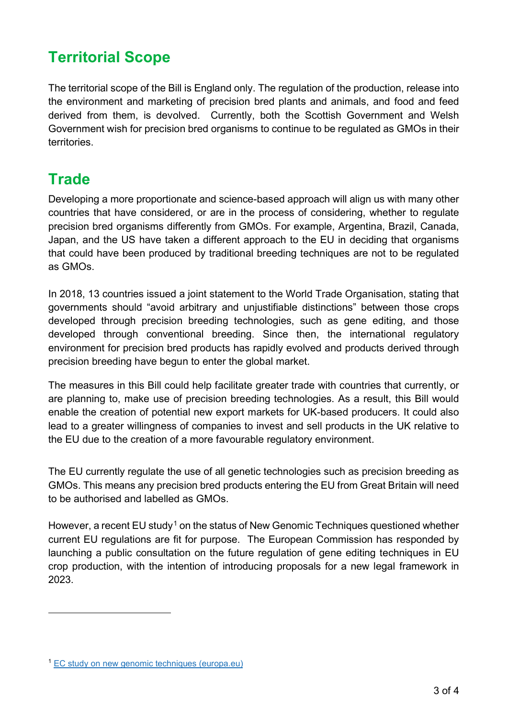# **Territorial Scope**

The territorial scope of the Bill is England only. The regulation of the production, release into the environment and marketing of precision bred plants and animals, and food and feed derived from them, is devolved. Currently, both the Scottish Government and Welsh Government wish for precision bred organisms to continue to be regulated as GMOs in their territories.

## **Trade**

Developing a more proportionate and science-based approach will align us with many other countries that have considered, or are in the process of considering, whether to regulate precision bred organisms differently from GMOs. For example, Argentina, Brazil, Canada, Japan, and the US have taken a different approach to the EU in deciding that organisms that could have been produced by traditional breeding techniques are not to be regulated as GMOs.

In 2018, 13 countries issued a joint statement to the World Trade Organisation, stating that governments should "avoid arbitrary and unjustifiable distinctions" between those crops developed through precision breeding technologies, such as gene editing, and those developed through conventional breeding. Since then, the international regulatory environment for precision bred products has rapidly evolved and products derived through precision breeding have begun to enter the global market.

The measures in this Bill could help facilitate greater trade with countries that currently, or are planning to, make use of precision breeding technologies. As a result, this Bill would enable the creation of potential new export markets for UK-based producers. It could also lead to a greater willingness of companies to invest and sell products in the UK relative to the EU due to the creation of a more favourable regulatory environment.

The EU currently regulate the use of all genetic technologies such as precision breeding as GMOs. This means any precision bred products entering the EU from Great Britain will need to be authorised and labelled as GMOs.

However, a recent EU study<sup>[1](#page-2-0)</sup> on the status of New Genomic Techniques questioned whether current EU regulations are fit for purpose. The European Commission has responded by launching a public consultation on the future regulation of gene editing techniques in EU crop production, with the intention of introducing proposals for a new legal framework in 2023.

<span id="page-2-0"></span><sup>1</sup> [EC study on new genomic techniques \(europa.eu\)](https://ec.europa.eu/food/plants/genetically-modified-organisms/new-techniques-biotechnology/ec-study-new-genomic-techniques_en)